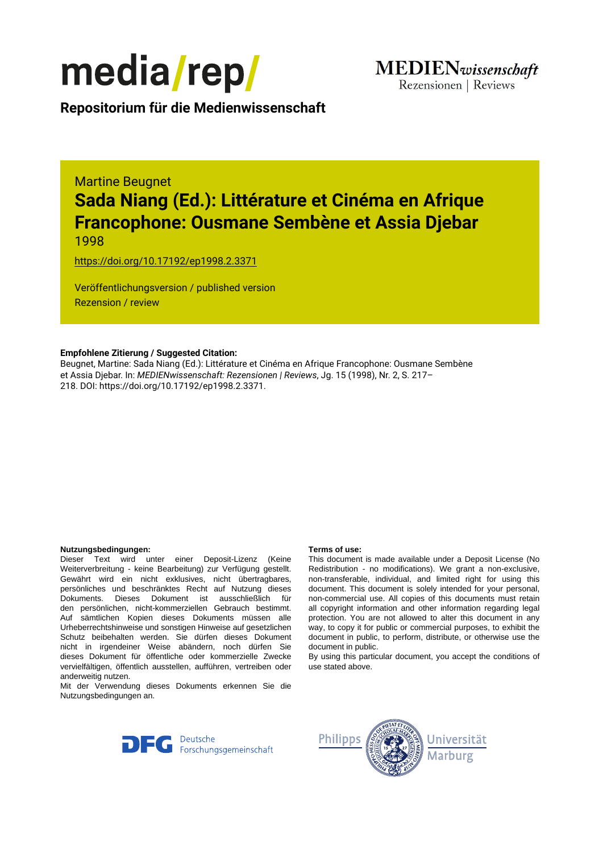

**Repositorium für die [Medienwissenschaft](https://mediarep.org)**

# Martine Beugnet **Sada Niang (Ed.): Littérature et Cinéma en Afrique Francophone: Ousmane Sembène et Assia Djebar** 1998

<https://doi.org/10.17192/ep1998.2.3371>

Veröffentlichungsversion / published version Rezension / review

### **Empfohlene Zitierung / Suggested Citation:**

Beugnet, Martine: Sada Niang (Ed.): Littérature et Cinéma en Afrique Francophone: Ousmane Sembène et Assia Djebar. In: *MEDIENwissenschaft: Rezensionen | Reviews*, Jg. 15 (1998), Nr. 2, S. 217– 218. DOI: https://doi.org/10.17192/ep1998.2.3371.

#### **Nutzungsbedingungen: Terms of use:**

Dieser Text wird unter einer Deposit-Lizenz (Keine Weiterverbreitung - keine Bearbeitung) zur Verfügung gestellt. Gewährt wird ein nicht exklusives, nicht übertragbares, persönliches und beschränktes Recht auf Nutzung dieses Dokuments. Dieses Dokument ist ausschließlich für den persönlichen, nicht-kommerziellen Gebrauch bestimmt. Auf sämtlichen Kopien dieses Dokuments müssen alle Urheberrechtshinweise und sonstigen Hinweise auf gesetzlichen Schutz beibehalten werden. Sie dürfen dieses Dokument nicht in irgendeiner Weise abändern, noch dürfen Sie dieses Dokument für öffentliche oder kommerzielle Zwecke vervielfältigen, öffentlich ausstellen, aufführen, vertreiben oder anderweitig nutzen.

Mit der Verwendung dieses Dokuments erkennen Sie die Nutzungsbedingungen an.

This document is made available under a Deposit License (No Redistribution - no modifications). We grant a non-exclusive, non-transferable, individual, and limited right for using this document. This document is solely intended for your personal, non-commercial use. All copies of this documents must retain all copyright information and other information regarding legal protection. You are not allowed to alter this document in any way, to copy it for public or commercial purposes, to exhibit the document in public, to perform, distribute, or otherwise use the document in public.

By using this particular document, you accept the conditions of use stated above.



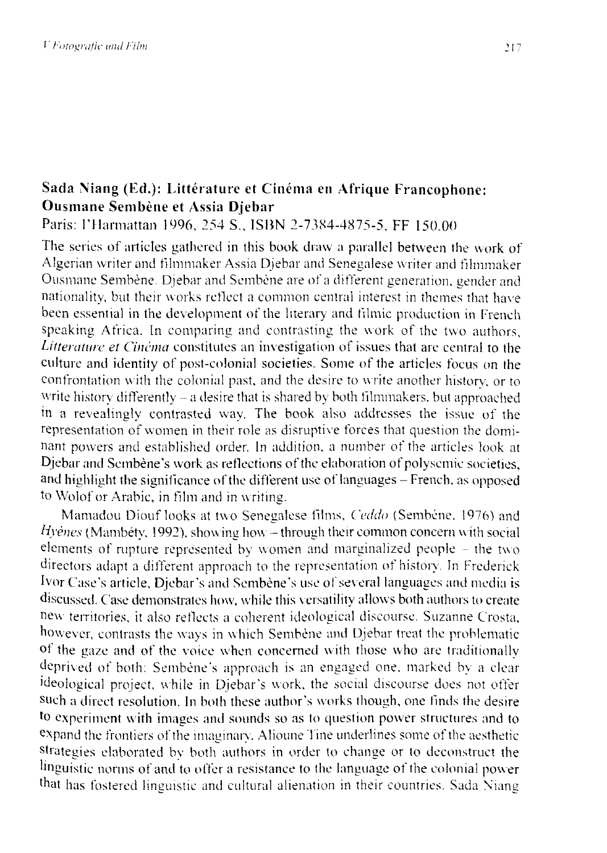## Sada Niang (Ed.): Littérature et Cinéma en Afrique Francophone: **Ousmane Sembene et Assia Djebar**

Paris: l'Harmattan 1996, 254 S., ISBN 2-7384-4875-5, FF 150.00

The series of articles gathered in this book draw a parallel between the work of Algerian writer and filmmaker Assia Djebar and Senegalese writer and filmmaker Ousmane Sembène. Djebar and Sembène are of a different generation, gender and nationality, but their works reflect a common central interest in themes that have been essential in the development of the literary and filmic production in French speaking Africa. In comparing and contrasting the work of the two authors, *Litterature et Cinéma* constitutes an investigation of issues that are central to the culture and identity of post-colonial societies. Some of the articles focus on the confrontation with the colonial past, and the desire to write another historv. or to write history differently  $-$  a desire that is shared by both filmmakers, but approached in a revealingly contrasted way. The book also addresses the issue of the representation of women in their role as disruptive forces that question the dominant powers and established order. In addition. a number of the articles look at Djebar and Sembène's work as reflections of the elaboration of polysemic societies, and highlight the significance of the different use of languages – French, as opposed to Wolof or Arabic, in film and in writing.

Mamadou Diouf looks at two Senegalese films, *Ceddo* (Sembène, 1976) and *Hyenes* (Mambéty, 1992), showing how – through their common concern with social elements of rupture represented by women and marginalized people - the two directors adapt a different approach to the representation of history. In Frederick Ivor Case 's article, Djebar's and Sembene 's use of several languages and media is discussed. Case demonstrates how, while this versatility allows both authors to create new territories, it also reflects a coherent ideological discourse. Suzanne Crosta, however, contrasts the ways in which Sembène and Djebar treat the problematic of the gaze and of the voice when concerned with those who are traditionally deprived of both: Sembène's approach is an engaged one, marked by a clear ideological project, while in Djebar's work, the social discourse does not offer such a direct resolution. In both these author's works though, one finds the desire to experiment with images and sounds so as to question power structures and to expand the frontiers of the imaginary. Alioune Tine underlines some of the aesthetic strategies elaborated by both authors in order to change or to deconstruct the linguistic norms of and to offer a resistance to the Ianguage of the colonial power that has fostered linguistic and cultural alienation in their countries. Sada Niang